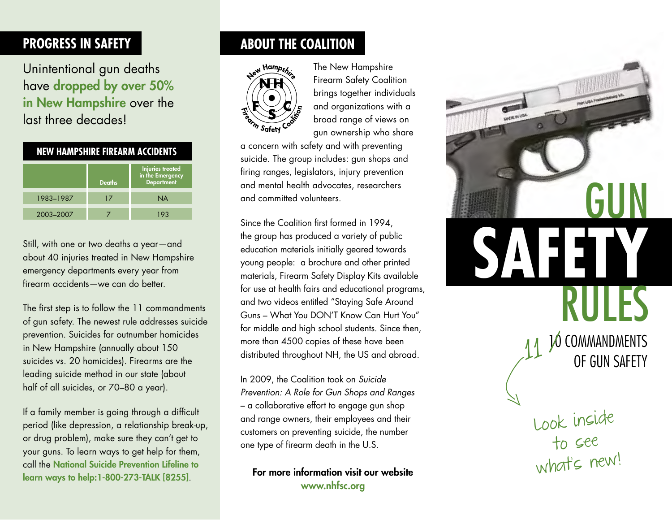## **Progress in Safety**

Unintentional gun deaths have dropped by over 50% in New Hampshire over the last three decades!

| <b>NEW HAMPSHIRE FIREARM ACCIDENTS</b> |               |                                                                  |
|----------------------------------------|---------------|------------------------------------------------------------------|
|                                        | <b>Deaths</b> | <b>Injuries treated</b><br>in the Emergency<br><b>Department</b> |
| 1983-1987                              | 17            | <b>NA</b>                                                        |
| 2003-2007                              |               | 193                                                              |

Still, with one or two deaths a year—and about 40 injuries treated in New Hampshire emergency departments every year from firearm accidents—we can do better.

The first step is to follow the 11 commandments of gun safety. The newest rule addresses suicide prevention. Suicides far outnumber homicides in New Hampshire (annually about 150 suicides vs. 20 homicides). Firearms are the leading suicide method in our state (about half of all suicides, or 70–80 a year).

If a family member is going through a difficult period (like depression, a relationship break-up, or drug problem), make sure they can't get to your guns. To learn ways to get help for them, call the National Suicide Prevention Lifeline to learn ways to help:1-800-273-TALK [8255].

## **ABOUT THE COALITION**



The New Hampshire Firearm Safety Coalition brings together individuals and organizations with a broad range of views on gun ownership who share

a concern with safety and with preventing suicide. The group includes: gun shops and firing ranges, legislators, injury prevention and mental health advocates, researchers and committed volunteers.

Since the Coalition first formed in 1994, the group has produced a variety of public education materials initially geared towards young people: a brochure and other printed materials, Firearm Safety Display Kits available for use at health fairs and educational programs, and two videos entitled "Staying Safe Around Guns – What You DON'T Know Can Hurt You" for middle and high school students. Since then, more than 4500 copies of these have been distributed throughout NH, the US and abroad.

In 2009, the Coalition took on *Suicide Prevention: A Role for Gun Shops and Ranges*  – a collaborative effort to engage gun shop and range owners, their employees and their customers on preventing suicide, the number one type of firearm death in the U.S.

For more information visit our website www.nhfsc.org

GUN Rules **Safety** 10 COMMANDMENTS of Gun Safety 11

> Look inside to see what's new!